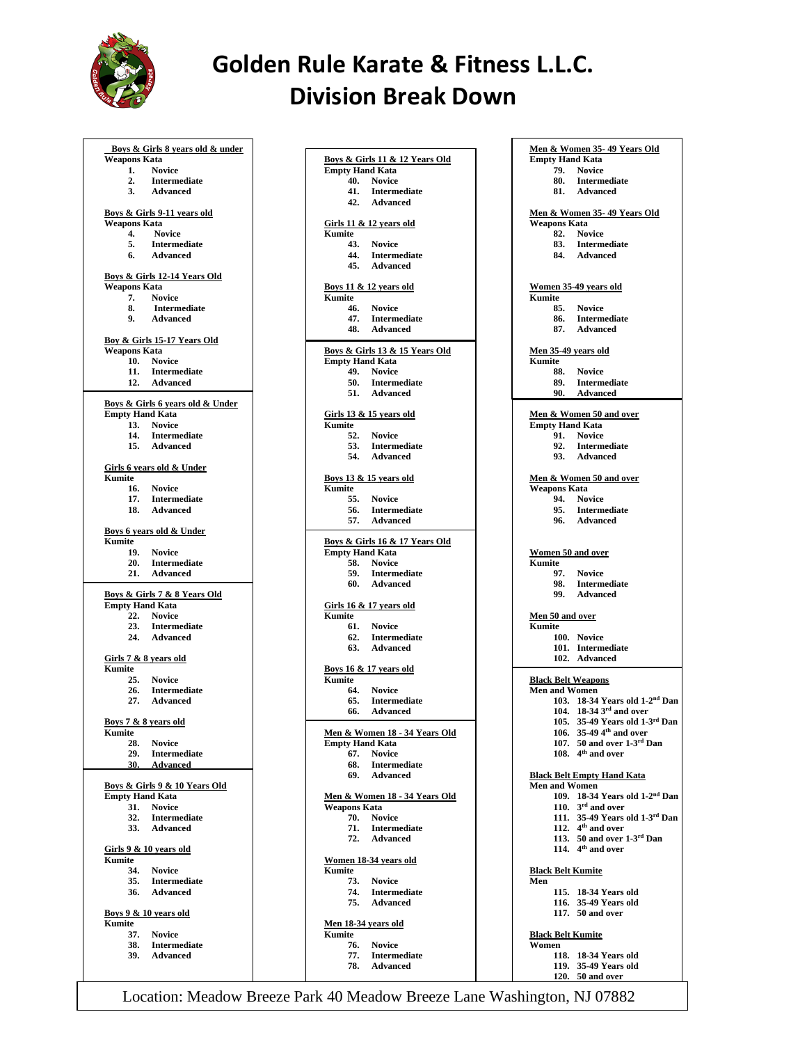

## **Golden Rule Karate & Fitness L.L.C. Division Break Down**

|                                           | Boys & Girls 8 years old & under             |  |
|-------------------------------------------|----------------------------------------------|--|
| <b>Weapons Kata</b><br>1.                 | <b>Novice</b>                                |  |
| 2.                                        | <b>Intermediate</b>                          |  |
| 3.                                        | Advanced                                     |  |
|                                           |                                              |  |
| <b>Weapons Kata</b>                       | <u>Boys &amp; Girls 9-11 years old</u>       |  |
| 4.                                        | <b>Novice</b>                                |  |
| 5.                                        | $\label{prop:optimal} {\bf Intermediate}$    |  |
| 6.                                        | Advanced                                     |  |
|                                           |                                              |  |
| Weapons Kata                              | <b>Boys &amp; Girls 12-14 Years Old</b>      |  |
| 7.                                        | <b>Novice</b>                                |  |
| 8.                                        | 8. Intermediate<br>9. Advanced               |  |
|                                           |                                              |  |
|                                           |                                              |  |
| Weapons Kata                              | <b>Boy &amp; Girls 15-17 Years Old</b>       |  |
| 10.                                       | Novice                                       |  |
|                                           | 11. Intermediate<br>12. Advanced             |  |
|                                           |                                              |  |
|                                           | Boys & Girls 6 years old & Under             |  |
| <b>Empty Hand Kata</b>                    |                                              |  |
|                                           | 13. Novice                                   |  |
|                                           | 14. Intermediate<br>15. Advanced             |  |
|                                           |                                              |  |
|                                           | Girls 6 years old & Under                    |  |
| Kumite                                    |                                              |  |
|                                           | 16. Novice                                   |  |
|                                           | 17. Intermediate<br>18. Advanced             |  |
|                                           |                                              |  |
|                                           | <u>Boys 6 years old &amp; Under</u>          |  |
| <b>Kumite</b>                             |                                              |  |
|                                           | 19. Novice                                   |  |
| 20.                                       | <b>Intermediate</b><br>21. Advanced          |  |
|                                           |                                              |  |
|                                           | <b>Boys &amp; Girls 7 &amp; 8 Years Old</b>  |  |
| <b>Empty Hand Kata</b>                    |                                              |  |
|                                           | 22. Novice<br>23. Intermediate               |  |
|                                           | 24. Advanced                                 |  |
|                                           |                                              |  |
| <b>Kumite</b>                             | Girls 7 & 8 years old                        |  |
|                                           | 25. Novice                                   |  |
| 26.                                       | <b>Intermediate</b>                          |  |
|                                           | 27. Advanced                                 |  |
|                                           |                                              |  |
| <b>Boys 7 &amp; 8 years old</b><br>Kumite |                                              |  |
| 28.                                       | <b>Novice</b>                                |  |
|                                           |                                              |  |
| 29.                                       | <b>Intermediate</b>                          |  |
|                                           | 30. Advanced                                 |  |
|                                           |                                              |  |
|                                           | <b>Boys &amp; Girls 9 &amp; 10 Years Old</b> |  |
| <b>Empty Hand Kata</b><br>31.             | <b>Novice</b>                                |  |
| 32.                                       | <b>Intermediate</b>                          |  |
| 33.                                       | <b>Advanced</b>                              |  |
|                                           |                                              |  |
| Kumite                                    | Girls 9 & 10 years old                       |  |
| 34.                                       | <b>Novice</b>                                |  |
| 35.                                       | <b>Intermediate</b>                          |  |
| 36.                                       | <b>Advanced</b>                              |  |
|                                           |                                              |  |
| Kumite                                    | <b>Boys 9 &amp; 10 years old</b>             |  |
| 37.                                       | <b>Novice</b>                                |  |
| 38.                                       | <b>Intermediate</b>                          |  |
| 39.                                       | <b>Advanced</b>                              |  |

| Boys & Girls 11 & 12 Years Old |                                           |  |  |
|--------------------------------|-------------------------------------------|--|--|
| <b>Empty Hand Kata</b>         |                                           |  |  |
| 40.                            | <b>Novice</b>                             |  |  |
| 41.<br>42.                     | <b>Intermediate</b>                       |  |  |
|                                | Advanced                                  |  |  |
|                                | <b>Girls 11 &amp; 12 years old</b>        |  |  |
| Kumite                         |                                           |  |  |
| 43.                            | <b>Novice</b>                             |  |  |
| 44.                            | Intermediate                              |  |  |
| 45.                            | Advanced                                  |  |  |
|                                | <b>Boys 11 &amp; 12 years old</b>         |  |  |
| Kumite                         |                                           |  |  |
|                                | 46. Novice                                |  |  |
| 47.                            | Intermediate                              |  |  |
| 48.                            | Advanced                                  |  |  |
|                                |                                           |  |  |
| <b>Empty Hand Kata</b>         | Boys & Girls 13 & 15 Years Old            |  |  |
|                                | 49. Novice                                |  |  |
| 50.                            | Intermediate                              |  |  |
|                                | 51. Advanced                              |  |  |
|                                |                                           |  |  |
|                                | Girls 13 & 15 years old                   |  |  |
| <b>Kumite</b>                  |                                           |  |  |
|                                | 52. Novice                                |  |  |
| 53.<br>54.                     | Intermediate<br>Advanced                  |  |  |
|                                |                                           |  |  |
|                                | <b>Boys 13 &amp; 15 years old</b>         |  |  |
| Kumite                         |                                           |  |  |
|                                | 55. Novice                                |  |  |
| 56.                            | Intermediate                              |  |  |
| 57.                            | Advanced                                  |  |  |
|                                | Boys & Girls 16 & 17 Years Old            |  |  |
| <b>Empty Hand Kata</b>         |                                           |  |  |
| 58.                            | <b>Novice</b>                             |  |  |
|                                |                                           |  |  |
| 59.                            | Intermediate                              |  |  |
|                                | 60. Advanced                              |  |  |
|                                |                                           |  |  |
|                                | <b>Girls 16 &amp; 17 years old</b>        |  |  |
| Kumite                         |                                           |  |  |
| 61.                            | <b>Novice</b>                             |  |  |
| 62.                            | Intermediate                              |  |  |
|                                | 63. Advanced                              |  |  |
|                                | <u>Boys 16 &amp; 17 years old</u>         |  |  |
| Kumite                         |                                           |  |  |
| 64.                            | <b>Novice</b>                             |  |  |
| 65.                            | Intermediate                              |  |  |
| 66.                            | <b>Advanced</b>                           |  |  |
|                                | <u> Men &amp; Women 18 - 34 Years Old</u> |  |  |
| Empty Hand Kata                |                                           |  |  |
|                                | 67. Novice                                |  |  |
| 68.                            | Intermediate                              |  |  |
|                                | 69. Advanced                              |  |  |
|                                |                                           |  |  |
|                                | <u> Men &amp; Women 18 - 34 Years Old</u> |  |  |
| <b>Weapons Kata</b><br>70.     | <b>Novice</b>                             |  |  |
|                                |                                           |  |  |
|                                | 71. Intermediate<br>72. Advanced          |  |  |
|                                |                                           |  |  |
|                                | Women 18-34 years old                     |  |  |
| Kumite                         |                                           |  |  |
|                                | 73. Novice                                |  |  |
|                                | 74. Intermediate<br>75. Advanced          |  |  |
|                                |                                           |  |  |
| <u>Men 18-34 years old</u>     |                                           |  |  |
| Kumite                         |                                           |  |  |
|                                | 76. Novice                                |  |  |
|                                | 77. Intermediate<br>78. Advanced          |  |  |

| Men & Women 35-49 Years Old   |                                                              |  |
|-------------------------------|--------------------------------------------------------------|--|
| <b>Empty Hand Kata</b>        |                                                              |  |
| 79.                           | <b>Novice</b>                                                |  |
| 80.                           | <b>Intermediate</b>                                          |  |
| 81.                           | <b>Advanced</b>                                              |  |
|                               |                                                              |  |
| Weapons Kata                  | <b>Men &amp; Women 35-49 Years Old</b>                       |  |
| 82.                           | <b>Novice</b>                                                |  |
| 83.                           | <b>Intermediate</b>                                          |  |
| 84.                           | <b>Advanced</b>                                              |  |
|                               |                                                              |  |
|                               |                                                              |  |
|                               | Women 35-49 years old                                        |  |
| Kumite                        |                                                              |  |
| 85.<br>86.                    | <b>Novice</b>                                                |  |
| 87.                           | <b>Intermediate</b><br><b>Advanced</b>                       |  |
|                               |                                                              |  |
| <u>Men 35-49 years old</u>    |                                                              |  |
| Kumite                        |                                                              |  |
| 88.                           | <b>Novice</b>                                                |  |
| 89.                           | <b>Intermediate</b>                                          |  |
| 90.                           | Advanced                                                     |  |
|                               |                                                              |  |
|                               | <b>Men &amp; Women 50 and over</b>                           |  |
| <b>Empty Hand Kata</b><br>91. |                                                              |  |
| 92.                           | <b>Novice</b><br><b>Intermediate</b>                         |  |
| 93.                           | <b>Advanced</b>                                              |  |
|                               |                                                              |  |
|                               | <b>Men &amp; Women 50 and over</b>                           |  |
| Weapons Kata                  |                                                              |  |
| 94.                           | <b>Novice</b>                                                |  |
| 95.                           | Intermediate                                                 |  |
| 96.                           | <b>Advanced</b>                                              |  |
|                               |                                                              |  |
|                               |                                                              |  |
| <b>Women 50 and over</b>      |                                                              |  |
| Kumite<br>97.                 | <b>Novice</b>                                                |  |
| 98.                           | Intermediate                                                 |  |
| 99.                           | Advanced                                                     |  |
|                               |                                                              |  |
| <b>Men 50 and over</b>        |                                                              |  |
|                               |                                                              |  |
| Kumite                        |                                                              |  |
|                               | 100. Novice                                                  |  |
| 101.                          | <b>Intermediate</b>                                          |  |
| 102.                          | Advanced                                                     |  |
|                               |                                                              |  |
| <b>Black Belt Weapons</b>     |                                                              |  |
| <b>Men and Women</b>          |                                                              |  |
|                               | 103. 18-34 Years old 1-2 <sup>nd</sup> Dan                   |  |
| 104.                          | $18-34$ $3^{\text{rd}}$ and over                             |  |
| 105.                          | 35-49 Years old 1-3rd Dan                                    |  |
|                               | 106. 35-49 4 <sup>th</sup> and over<br>50 and over 1-3rd Dan |  |
| 107.                          | 108. 4 <sup>th</sup> and over                                |  |
|                               |                                                              |  |
|                               | <b>Black Belt Empty Hand Kata</b>                            |  |
| <b>Men and Women</b>          |                                                              |  |
| 109.                          | 18-34 Years old 1-2 <sup>nd</sup> Dan                        |  |
| 110.                          | 3 <sup>rd</sup> and over                                     |  |
| 111.                          | 35-49 Years old 1-3rd Dan                                    |  |
| 112.                          | 4 <sup>th</sup> and over                                     |  |
| 113.                          | 50 and over 1-3rd Dan<br>114. $4th$ and over                 |  |
|                               |                                                              |  |
| <b>Black Belt Kumite</b>      |                                                              |  |
| Men                           |                                                              |  |
|                               | 115. 18-34 Years old                                         |  |
| 116.                          | 35-49 Years old                                              |  |
|                               | 117. 50 and over                                             |  |
|                               |                                                              |  |
| <b>Black Belt Kumite</b>      |                                                              |  |
| Women                         |                                                              |  |
|                               | 118. 18-34 Years old<br>119. 35-49 Years old                 |  |

**120. 50 and over**

Location: Meadow Breeze Park 40 Meadow Breeze Lane Washington, NJ 07882